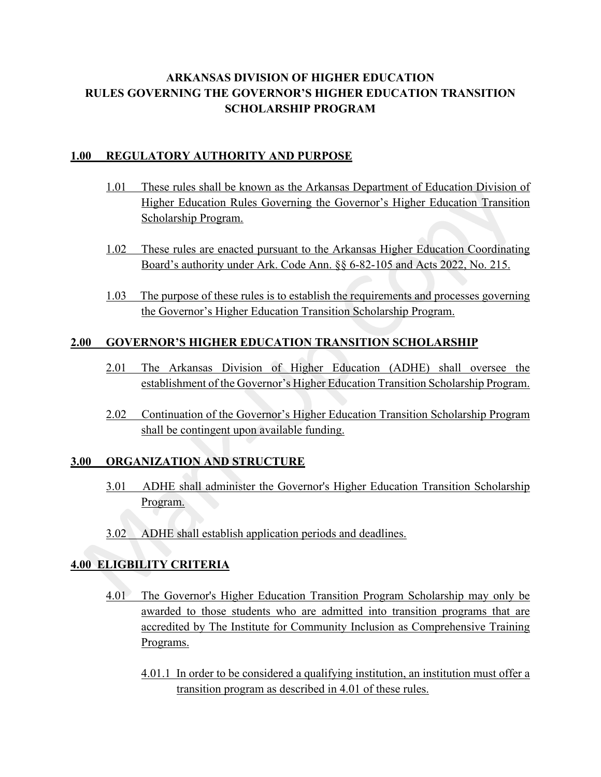# **ARKANSAS DIVISION OF HIGHER EDUCATION RULES GOVERNING THE GOVERNOR'S HIGHER EDUCATION TRANSITION SCHOLARSHIP PROGRAM**

## **1.00 REGULATORY AUTHORITY AND PURPOSE**

- 1.01 These rules shall be known as the Arkansas Department of Education Division of Higher Education Rules Governing the Governor's Higher Education Transition Scholarship Program.
- 1.02 These rules are enacted pursuant to the Arkansas Higher Education Coordinating Board's authority under Ark. Code Ann. §§ 6-82-105 and Acts 2022, No. 215.
- 1.03 The purpose of these rules is to establish the requirements and processes governing the Governor's Higher Education Transition Scholarship Program.

## **2.00 GOVERNOR'S HIGHER EDUCATION TRANSITION SCHOLARSHIP**

- 2.01 The Arkansas Division of Higher Education (ADHE) shall oversee the establishment of the Governor's Higher Education Transition Scholarship Program.
- 2.02 Continuation of the Governor's Higher Education Transition Scholarship Program shall be contingent upon available funding.

#### **3.00 ORGANIZATION AND STRUCTURE**

- 3.01 ADHE shall administer the Governor's Higher Education Transition Scholarship Program.
- 3.02 ADHE shall establish application periods and deadlines.

#### **4.00 ELIGBILITY CRITERIA**

- 4.01 The Governor's Higher Education Transition Program Scholarship may only be awarded to those students who are admitted into transition programs that are accredited by The Institute for Community Inclusion as Comprehensive Training Programs.
	- 4.01.1 In order to be considered a qualifying institution, an institution must offer a transition program as described in 4.01 of these rules.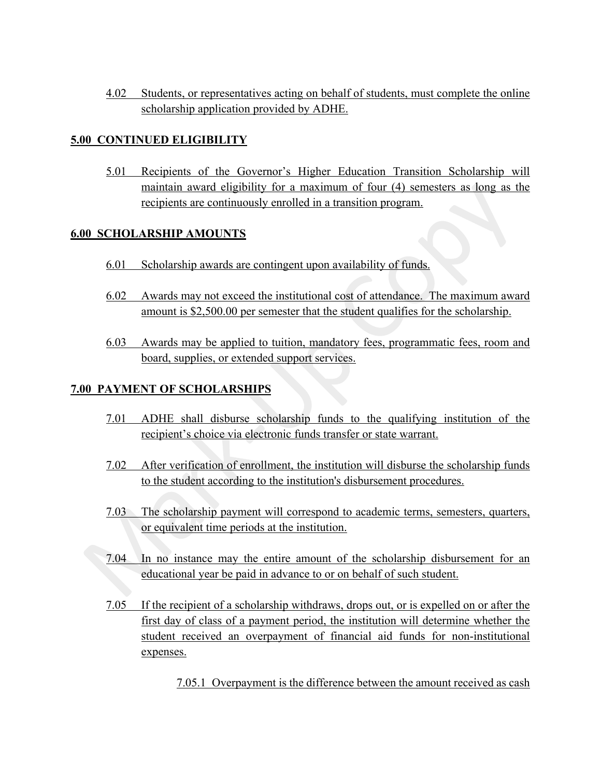4.02 Students, or representatives acting on behalf of students, must complete the online scholarship application provided by ADHE.

#### **5.00 CONTINUED ELIGIBILITY**

5.01 Recipients of the Governor's Higher Education Transition Scholarship will maintain award eligibility for a maximum of four (4) semesters as long as the recipients are continuously enrolled in a transition program.

## **6.00 SCHOLARSHIP AMOUNTS**

- 6.01 Scholarship awards are contingent upon availability of funds.
- 6.02 Awards may not exceed the institutional cost of attendance. The maximum award amount is \$2,500.00 per semester that the student qualifies for the scholarship.
- 6.03 Awards may be applied to tuition, mandatory fees, programmatic fees, room and board, supplies, or extended support services.

## **7.00 PAYMENT OF SCHOLARSHIPS**

- 7.01 ADHE shall disburse scholarship funds to the qualifying institution of the recipient's choice via electronic funds transfer or state warrant.
- 7.02 After verification of enrollment, the institution will disburse the scholarship funds to the student according to the institution's disbursement procedures.
- 7.03 The scholarship payment will correspond to academic terms, semesters, quarters, or equivalent time periods at the institution.
- 7.04 In no instance may the entire amount of the scholarship disbursement for an educational year be paid in advance to or on behalf of such student.
- 7.05 If the recipient of a scholarship withdraws, drops out, or is expelled on or after the first day of class of a payment period, the institution will determine whether the student received an overpayment of financial aid funds for non-institutional expenses.

7.05.1 Overpayment is the difference between the amount received as cash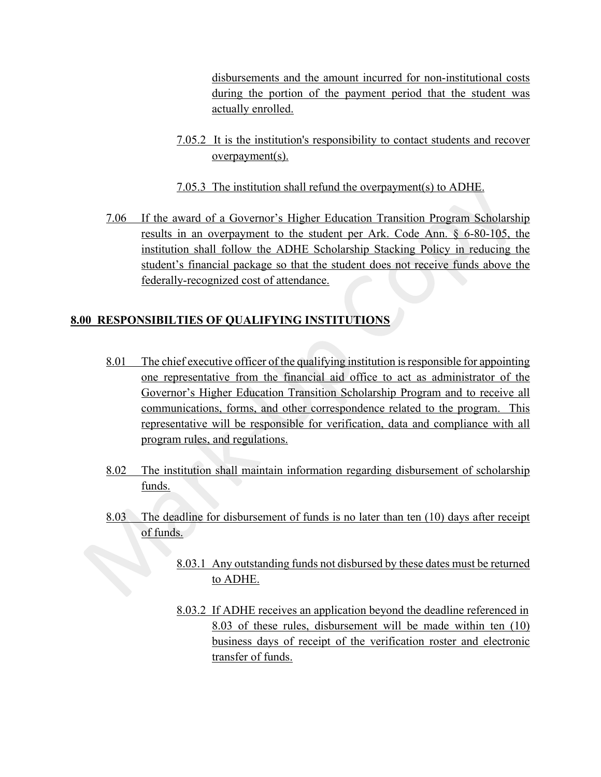disbursements and the amount incurred for non-institutional costs during the portion of the payment period that the student was actually enrolled.

- 7.05.2 It is the institution's responsibility to contact students and recover overpayment(s).
- 7.05.3 The institution shall refund the overpayment(s) to ADHE.
- 7.06 If the award of a Governor's Higher Education Transition Program Scholarship results in an overpayment to the student per Ark. Code Ann. § 6-80-105, the institution shall follow the ADHE Scholarship Stacking Policy in reducing the student's financial package so that the student does not receive funds above the federally-recognized cost of attendance.

## **8.00 RESPONSIBILTIES OF QUALIFYING INSTITUTIONS**

- 8.01 The chief executive officer of the qualifying institution is responsible for appointing one representative from the financial aid office to act as administrator of the Governor's Higher Education Transition Scholarship Program and to receive all communications, forms, and other correspondence related to the program. This representative will be responsible for verification, data and compliance with all program rules, and regulations.
- 8.02 The institution shall maintain information regarding disbursement of scholarship funds.
- 8.03 The deadline for disbursement of funds is no later than ten (10) days after receipt of funds.
	- 8.03.1 Any outstanding funds not disbursed by these dates must be returned to ADHE.
	- 8.03.2 If ADHE receives an application beyond the deadline referenced in 8.03 of these rules, disbursement will be made within ten (10) business days of receipt of the verification roster and electronic transfer of funds.